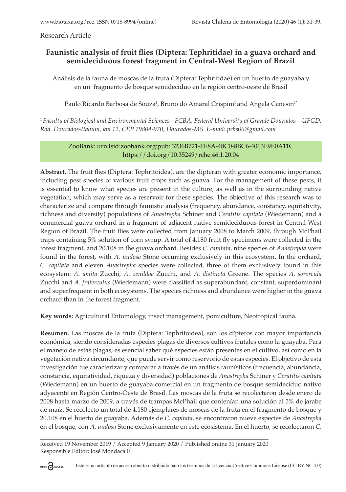Research Article

# **Faunistic analysis of fruit flies (Diptera: Tephritidae) in a guava orchard and semideciduous forest fragment in Central-West Region of Brazil**

Análisis de la fauna de moscas de la fruta (Diptera: Tephritidae) en un huerto de guayaba y en un fragmento de bosque semideciduo en la región centro-oeste de Brasil

Paulo Ricardo Barbosa de Souza<sup>1</sup>, Bruno do Amaral Crispim<sup>1</sup> and Angela Canesin<sup>1</sup>'

<sup>1</sup>*Faculty of Biological and Environmental Sciences - FCBA, Federal University of Grande Dourados – UFGD. Rod. Dourados-Itahum, km 12, CEP 79804-970, Dourados-MS. E-mail: prbs06@gmail.com*

### ZooBank: urn:lsid:zoobank.org:pub: 3236B721-FE8A-48C0-8BC6-4063E9E0A11C https://doi.org/10.35249/rche.46.1.20.04

**Abstract.** The fruit flies (Diptera: Tephritoidea), are the dipteran with greater economic importance, including pest species of various fruit crops such as guava. For the management of these pests, it is essential to know what species are present in the culture, as well as in the surrounding native vegetation, which may serve as a reservoir for these species. The objective of this research was to characterize and compare through faunistic analysis (frequency, abundance, constancy, equitativity, richness and diversity) populations of *Anastrepha* Schiner and *Ceratitis capitata* (Wiedemann) and a commercial guava orchard in a fragment of adjacent native semideciduous forest in Central-West Region of Brazil. The fruit flies were collected from January 2008 to March 2009, through McPhail traps containing 5% solution of corn syrup. A total of 4,180 fruit fly specimens were collected in the forest fragment, and 20,108 in the guava orchard. Besides *C*. *capitata*, nine species of *Anastrepha* were found in the forest, with *A*. *undosa* Stone occurring exclusively in this ecosystem. In the orchard, *C*. *capitata* and eleven *Anastrepha* species were collected, three of them exclusively found in this ecosystem: *A*. *amita* Zucchi, *A*. *zenildae* Zucchi, and *A*. *distincta* Greene. The species *A*. *sororcula* Zucchi and *A*. *fraterculus* (Wiedemann) were classified as superabundant, constant, superdominant and superfrequent in both ecosystems. The species richness and abundance were higher in the guava orchard than in the forest fragment.

**Key words:** Agricultural Entomology, insect management, pomiculture, Neotropical fauna.

**Resumen.** Las moscas de la fruta (Diptera: Tephritoidea), son los dípteros con mayor importancia económica, siendo consideradas especies plagas de diversos cultivos frutales como la guayaba. Para el manejo de estas plagas, es esencial saber qué especies están presentes en el cultivo, así como en la vegetación nativa circundante, que puede servir como reservorio de estas especies. El objetivo de esta investigación fue caracterizar y comparar a través de un análisis faunísticos (frecuencia, abundancia, constancia, equitatividad, riqueza y diversidad) poblaciones de *Anastrepha* Schiner y *Ceratitis capitata* (Wiedemann) en un huerto de guayaba comercial en un fragmento de bosque semideciduo nativo adyacente en Región Centro-Oeste de Brasil. Las moscas de la fruta se recolectaron desde enero de 2008 hasta marzo de 2009, a través de trampas McPhail que contenían una solución al 5% de jarabe de maíz. Se recolecto un total de 4.180 ejemplares de moscas de la fruta en el fragmento de bosque y 20.108 en el huerto de guayaba. Además de *C*. *capitata*, se encontraron nueve especies de *Anastrepha* en el bosque, con *A*. *undosa* Stone exclusivamente en este ecosistema. En el huerto, se recolectaron *C*.

Received 19 November 2019 / Accepted 9 January 2020 / Published online 31 January 2020 Responsible Editor: José Mondaca E.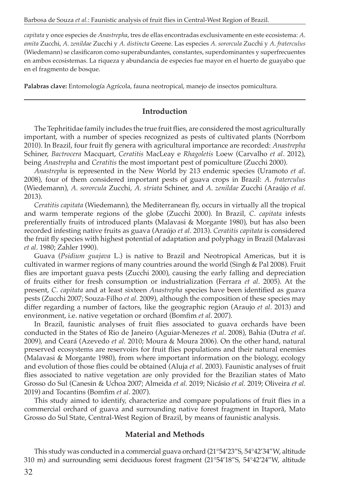*capitata* y once especies de *Anastrepha*, tres de ellas encontradas exclusivamente en este ecosistema: *A*. *amita* Zucchi, *A*. *zenildae* Zucchi y *A*. *distincta* Greene. Las especies *A*. *sororcula* Zucchi y *A*. *fraterculus* (Wiedemann) se clasificaron como superabundantes, constantes, superdominantes y superfrecuentes en ambos ecosistemas. La riqueza y abundancia de especies fue mayor en el huerto de guayabo que en el fragmento de bosque.

**Palabras clave:** Entomología Agrícola, fauna neotropical, manejo de insectos pomicultura.

## **Introduction**

The Tephritidae family includes the true fruit flies, are considered the most agriculturally important, with a number of species recognized as pests of cultivated plants (Norrbom 2010). In Brazil, four fruit fly genera with agricultural importance are recorded: *Anastrepha* Schiner, *Bactrocera* Macquart, *Ceratitis* MacLeay e *Rhagoletis* Loew (Carvalho *et al*. 2012), being *Anastrepha* and *Ceratitis* the most important pest of pomiculture (Zucchi 2000).

*Anastrepha* is represented in the New World by 213 endemic species (Uramoto *et al*. 2008), four of them considered important pests of guava crops in Brazil: *A*. *fraterculus* (Wiedemann), *A*. *sororcula* Zucchi, *A*. *striata* Schiner, and *A*. *zenildae* Zucchi (Araújo *et al*. 2013).

*Ceratitis capitata* (Wiedemann), the Mediterranean fly, occurs in virtually all the tropical and warm temperate regions of the globe (Zucchi 2000). In Brazil, *C*. *capitata* infests preferentially fruits of introduced plants (Malavasi & Morgante 1980), but has also been recorded infesting native fruits as guava (Araújo *et al*. 2013). *Ceratitis capitata* is considered the fruit fly species with highest potential of adaptation and polyphagy in Brazil (Malavasi *et al*. 1980; Zahler 1990).

Guava (*Psidium guajava* L.) is native to Brazil and Neotropical Americas, but it is cultivated in warmer regions of many countries around the world (Singh & Pal 2008). Fruit flies are important guava pests (Zucchi 2000), causing the early falling and depreciation of fruits either for fresh consumption or industrialization (Ferrara *et al*. 2005). At the present, *C*. *capitata* and at least sixteen *Anastrepha* species have been identified as guava pests (Zucchi 2007; Souza-Filho *et al.* 2009), although the composition of these species may differ regarding a number of factors, like the geographic region (Araujo *et al*. 2013) and environment, i.e. native vegetation or orchard (Bomfim *et al*. 2007).

In Brazil, faunistic analyses of fruit flies associated to guava orchards have been conducted in the States of Rio de Janeiro (Aguiar-Menezes *et al*. 2008), Bahia (Dutra *et al*. 2009), and Ceará (Azevedo *et al.* 2010; Moura & Moura 2006). On the other hand, natural preserved ecosystems are reservoirs for fruit flies populations and their natural enemies (Malavasi & Morgante 1980), from where important information on the biology, ecology and evolution of those flies could be obtained (Aluja *et al*. 2003). Faunistic analyses of fruit flies associated to native vegetation are only provided for the Brazilian states of Mato Grosso do Sul (Canesin & Uchoa 2007; Almeida *et al.* 2019; Nicásio *et al.* 2019; Oliveira *et al.* 2019) and Tocantins (Bomfim *et al*. 2007).

This study aimed to identify, characterize and compare populations of fruit flies in a commercial orchard of guava and surrounding native forest fragment in Itaporã, Mato Grosso do Sul State, Central-West Region of Brazil, by means of faunistic analysis.

### **Material and Methods**

This study was conducted in a commercial guava orchard (21°54'23"S, 54°42'34"W, altitude 310 m) and surrounding semi deciduous forest fragment (21°54'18"S, 54°42'24"W, altitude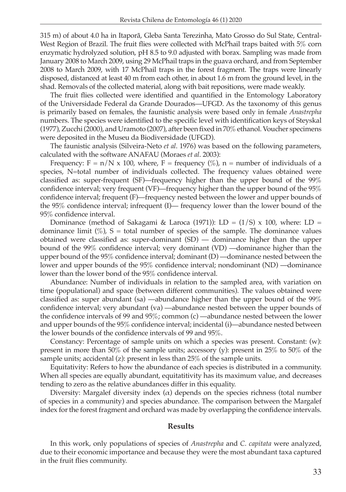315 m) of about 4.0 ha in Itaporã, Gleba Santa Terezinha, Mato Grosso do Sul State, Central-West Region of Brazil. The fruit flies were collected with McPhail traps baited with 5% corn enzymatic hydrolyzed solution, pH 8.5 to 9.0 adjusted with borax. Sampling was made from January 2008 to March 2009, using 29 McPhail traps in the guava orchard, and from September 2008 to March 2009, with 17 McPhail traps in the forest fragment. The traps were linearly disposed, distanced at least 40 m from each other, in about 1.6 m from the ground level, in the shad. Removals of the collected material, along with bait repositions, were made weakly.

The fruit flies collected were identified and quantified in the Entomology Laboratory of the Universidade Federal da Grande Dourados—UFGD. As the taxonomy of this genus is primarily based on females, the faunistic analysis were based only in female *Anastrepha* numbers. The species were identified to the specific level with identification keys of Steyskal (1977), Zucchi (2000), and Uramoto (2007), after been fixed in 70% ethanol. Voucher specimens were deposited in the Museu da Biodiversidade (UFGD).

The faunistic analysis (Silveira-Neto *et al*. 1976) was based on the following parameters, calculated with the software ANAFAU (Moraes *et al*. 2003):

Frequency:  $F = n/N \times 100$ , where,  $F = \text{frequency } (\%)$ ,  $n = \text{number of individuals of a}$ species, N=total number of individuals collected. The frequency values obtained were classified as: super-frequent (SF)—frequency higher than the upper bound of the 99% confidence interval; very frequent (VF)—frequency higher than the upper bound of the 95% confidence interval; frequent (F)—frequency nested between the lower and upper bounds of the 95% confidence interval; infrequent (I)— frequency lower than the lower bound of the 95% confidence interval.

Dominance (method of Sakagami & Laroca (1971)): LD = (1/S) x 100, where: LD = dominance limit  $(\%)$ , S = total number of species of the sample. The dominance values obtained were classified as: super-dominant (SD) — dominance higher than the upper bound of the 99% confidence interval; very dominant (VD) —dominance higher than the upper bound of the  $95\%$  confidence interval; dominant  $(D)$  —dominance nested between the lower and upper bounds of the 95% confidence interval; nondominant (ND) —dominance lower than the lower bond of the 95% confidence interval.

Abundance: Number of individuals in relation to the sampled area, with variation on time (populational) and space (between different communities). The values obtained were classified as: super abundant (sa) —abundance higher than the upper bound of the 99% confidence interval; very abundant (va) —abundance nested between the upper bounds of the confidence intervals of 99 and 95%; common (c) —abundance nested between the lower and upper bounds of the 95% confidence interval; incidental (i)—abundance nested between the lower bounds of the confidence intervals of 99 and 95%.

Constancy: Percentage of sample units on which a species was present. Constant: (w): present in more than 50% of the sample units; accessory (y): present in 25% to 50% of the sample units; accidental (z): present in less than 25% of the sample units.

Equitativity: Refers to how the abundance of each species is distributed in a community. When all species are equally abundant, equitatitivity has its maximum value, and decreases tending to zero as the relative abundances differ in this equality.

Diversity: Margalef diversity index  $(\alpha)$  depends on the species richness (total number of species in a community) and species abundance. The comparison between the Margalef index for the forest fragment and orchard was made by overlapping the confidence intervals.

#### **Results**

In this work, only populations of species of *Anastrepha* and *C. capitata* were analyzed, due to their economic importance and because they were the most abundant taxa captured in the fruit flies community.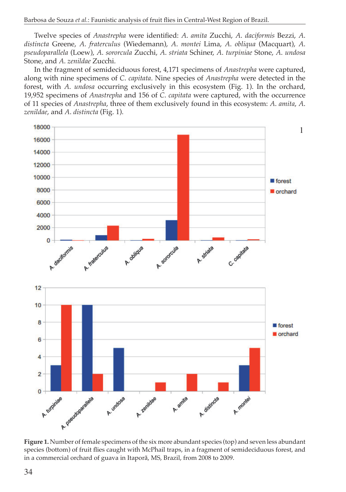Twelve species of *Anastrepha* were identified: *A*. *amita* Zucchi, *A*. *daciformis* Bezzi, *A*. *distincta* Greene, *A*. *fraterculus* (Wiedemann), *A*. *montei* Lima, *A*. *obliqua* (Macquart), *A*. *pseudoparallela* (Loew), *A*. *sororcula* Zucchi, *A*. *striata* Schiner, *A*. *turpiniae* Stone, *A*. *undosa* Stone, and *A*. *zenildae* Zucchi.

In the fragment of semideciduous forest, 4,171 specimens of *Anastrepha* were captured, along with nine specimens of *C*. *capitata*. Nine species of *Anastrepha* were detected in the forest, with *A*. *undosa* occurring exclusively in this ecosystem (Fig. 1). In the orchard, 19,952 specimens of *Anastrepha* and 156 of *C*. *capitata* were captured, with the occurrence of 11 species of *Anastrepha*, three of them exclusively found in this ecosystem: *A*. *amita*, *A*. *zenildae*, and *A*. *distincta* (Fig. 1).



**Figure 1.** Number of female specimens of the six more abundant species (top) and seven less abundant species (bottom) of fruit flies caught with McPhail traps, in a fragment of semideciduous forest, and in a commercial orchard of guava in Itaporã, MS, Brazil, from 2008 to 2009.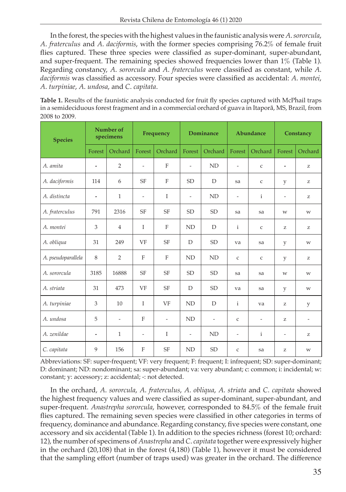In the forest, the species with the highest values in the faunistic analysis were *A*. *sororcula*, *A*. *fraterculus* and *A*. *daciformis*, with the former species comprising 76.2% of female fruit flies captured. These three species were classified as super-dominant, super-abundant, and super-frequent. The remaining species showed frequencies lower than 1% (Table 1). Regarding constancy, *A*. *sororcula* and *A*. *fraterculus* were classified as constant, while *A*. *daciformis* was classified as accessory. Four species were classified as accidental: *A*. *montei*, *A*. *turpiniae*, *A*. *undosa*, and *C*. *capitata*.

**Table 1.** Results of the faunistic analysis conducted for fruit fly species captured with McPhail traps in a semideciduous forest fragment and in a commercial orchard of guava in Itaporã, MS, Brazil, from 2008 to 2009.

| <b>Species</b>     | Number of<br>specimens   |                          | Frequency                |                          | <b>Dominance</b>         |                          | Abundance                |                          | Constancy      |                                                       |
|--------------------|--------------------------|--------------------------|--------------------------|--------------------------|--------------------------|--------------------------|--------------------------|--------------------------|----------------|-------------------------------------------------------|
|                    | Forest                   | Orchard                  | Forest                   | Orchard                  | Forest                   | Orchard                  | Forest                   | Orchard                  | Forest         | Orchard                                               |
| A. amita           | $\overline{\phantom{a}}$ | $\overline{2}$           | $\sim$                   | $\mathbf{F}$             | $\overline{\phantom{a}}$ | ND                       | $\overline{\phantom{a}}$ | $\mathsf C$              | $\overline{a}$ | Z                                                     |
| A. daciformis      | 114                      | 6                        | <b>SF</b>                | F                        | <b>SD</b>                | D                        | sa                       | $\mathsf C$              | y              | Z                                                     |
| A. distincta       | $\overline{a}$           | $\mathbf{1}$             | $\overline{\phantom{a}}$ | $\mathbf I$              | $\overline{\phantom{a}}$ | ND                       | ÷,                       | $\mathbf{i}$             | $\frac{1}{2}$  | Z                                                     |
| A. fraterculus     | 791                      | 2316                     | <b>SF</b>                | <b>SF</b>                | <b>SD</b>                | <b>SD</b>                | sa                       | sa                       | W              | W                                                     |
| A. montei          | 3                        | $\overline{4}$           | $\mathsf{I}$             | $\mathbf{F}$             | ND                       | D                        | $\mathbf{i}$             | $\mathsf C$              | Z              | Z                                                     |
| A. obliqua         | 31                       | 249                      | VF                       | <b>SF</b>                | D                        | <b>SD</b>                | va                       | sa                       | y              | W                                                     |
| A. pseudoparallela | 8                        | $\overline{2}$           | F                        | F                        | ND                       | <b>ND</b>                | $\mathsf C$              | $\mathsf C$              | y              | Z                                                     |
| A. sororcula       | 3185                     | 16888                    | <b>SF</b>                | <b>SF</b>                | <b>SD</b>                | <b>SD</b>                | sa                       | sa                       | W              | $\ensuremath{\text{W}}$                               |
| A. striata         | 31                       | 473                      | VF                       | <b>SF</b>                | D                        | <b>SD</b>                | va                       | sa                       | y              | W                                                     |
| A. turpiniae       | 3                        | 10                       | I                        | VF                       | ND                       | D                        | $\mathbf{i}$             | va                       | z              | y                                                     |
| A. undosa          | 5                        | $\overline{\phantom{a}}$ | F                        | $\overline{\phantom{a}}$ | <b>ND</b>                | $\overline{\phantom{a}}$ | $\mathsf{C}$             | $\overline{\phantom{a}}$ | Z.             | $\overline{\phantom{a}}$                              |
| A. zenildae        | $\overline{\phantom{a}}$ | $\mathbf{1}$             | $\overline{\phantom{a}}$ | I                        | $\overline{\phantom{a}}$ | <b>ND</b>                | $\overline{\phantom{a}}$ | $\mathbf{i}$             | $\frac{1}{2}$  | $\mathbf{Z}% ^{T}=\mathbf{Z}^{T}\times\mathbf{Z}^{T}$ |
| C. capitata        | 9                        | 156                      | F                        | <b>SF</b>                | <b>ND</b>                | <b>SD</b>                | $\mathsf{C}$             | sa                       | Z              | W                                                     |

Abbreviations: SF: super-frequent; VF: very frequent; F: frequent; I: infrequent; SD: super-dominant; D: dominant; ND: nondominant; sa: super-abundant; va: very abundant; c: common; i: incidental; w: constant; y: accessory; z: accidental; -: not detected.

In the orchard, *A*. *sororcula*, *A*. *fraterculus*, *A*. *obliqua*, *A*. *striata* and *C*. *capitata* showed the highest frequency values and were classified as super-dominant, super-abundant, and super-frequent. *Anastrepha sororcula*, however, corresponded to 84.5% of the female fruit flies captured. The remaining seven species were classified in other categories in terms of frequency, dominance and abundance. Regarding constancy, five species were constant, one accessory and six accidental (Table 1). In addition to the species richness (forest 10; orchard: 12), the number of specimens of *Anastrepha* and *C*. *capitata* together were expressively higher in the orchard (20,108) that in the forest (4,180) (Table 1), however it must be considered that the sampling effort (number of traps used) was greater in the orchard. The difference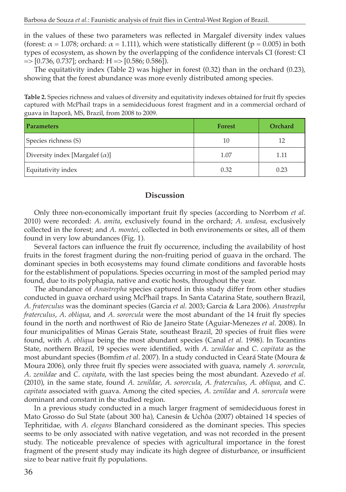in the values of these two parameters was reflected in Margalef diversity index values (forest:  $\alpha = 1.078$ ; orchard:  $\alpha = 1.111$ ), which were statistically different (p = 0.005) in both types of ecosystem, as shown by the overlapping of the confidence intervals CI (forest: CI  $=$   $>[0.736, 0.737]$ ; orchard: H  $=$   $[0.586, 0.586]$ ).

The equitativity index (Table 2) was higher in forest (0.32) than in the orchard (0.23), showing that the forest abundance was more evenly distributed among species.

**Table 2.** Species richness and values of diversity and equitativity indexes obtained for fruit fly species captured with McPhail traps in a semideciduous forest fragment and in a commercial orchard of guava in Itaporã, MS, Brazil, from 2008 to 2009.

| <b>Parameters</b>                      | <b>Forest</b> | Orchard |
|----------------------------------------|---------------|---------|
| Species richness (S)                   | 10            | 12      |
| Diversity index [Margalef $(\alpha)$ ] | 1.07          | 1.11    |
| Equitativity index                     | 0.32          | 0.23    |

### **Discussion**

Only three non-economically important fruit fly species (according to Norrbom *et al.* 2010) were recorded: *A*. *amita*, exclusively found in the orchard; *A*. *undosa*, exclusively collected in the forest; and *A*. *montei*, collected in both environements or sites, all of them found in very low abundances (Fig. 1).

Several factors can influence the fruit fly occurrence, including the availability of host fruits in the forest fragment during the non-fruiting period of guava in the orchard. The dominant species in both ecosystems may found climate conditions and favorable hosts for the establishment of populations. Species occurring in most of the sampled period may found, due to its polyphagia, native and exotic hosts, throughout the year.

The abundance of *Anastrepha* species captured in this study differ from other studies conducted in guava orchard using McPhail traps. In Santa Catarina State, southern Brazil, *A*. *fraterculus* was the dominant species (Garcia *et al.* 2003; Garcia & Lara 2006). *Anastrepha fraterculus*, *A*. *obliqua*, and *A*. *sororcula* were the most abundant of the 14 fruit fly species found in the north and northwest of Rio de Janeiro State (Aguiar-Menezes *et al*. 2008). In four municipalities of Minas Gerais State, southeast Brazil, 20 species of fruit flies were found, with *A*. *obliqua* being the most abundant species (Canal *et al.* 1998). In Tocantins State, northern Brazil, 19 species were identified, with *A*. *zenildae* and *C*. *capitata* as the most abundant species (Bomfim *et al*. 2007). In a study conducted in Ceará State (Moura & Moura 2006), only three fruit fly species were associated with guava, namely *A*. *sororcula*, *A*. *zenildae* and *C*. *capitata*, with the last species being the most abundant. Azevedo *et al.* (2010), in the same state, found *A*. *zenildae*, *A*. *sororcula*, *A*. *fraterculus*, *A*. *obliqua*, and *C*. *capitata* associated with guava. Among the cited species, *A*. *zenildae* and *A*. *sororcula* were dominant and constant in the studied region.

In a previous study conducted in a much larger fragment of semideciduous forest in Mato Grosso do Sul State (about 300 ha), Canesin & Uchôa (2007) obtained 14 species of Tephritidae, with *A*. *elegans* Blanchard considered as the dominant species. This species seems to be only associated with native vegetation, and was not recorded in the present study. The noticeable prevalence of species with agricultural importance in the forest fragment of the present study may indicate its high degree of disturbance, or insufficient size to bear native fruit fly populations.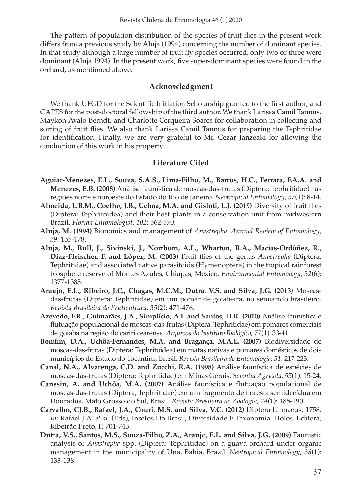The pattern of population distribution of the species of fruit flies in the present work differs from a previous study by Aluja (1994) concerning the number of dominant species. In that study although a large number of fruit fly species occurred, only two or three were dominant (Aluja 1994). In the present work, five super-dominant species were found in the orchard, as mentioned above.

## **Acknowledgment**

We thank UFGD for the Scientific Initiation Scholarship granted to the first author, and CAPES for the post-doctoral fellowship of the third author. We thank Larissa Camil Tannus, Maykon Avalo Berndt, and Charlotte Cerqueira Soares for collaboration in collecting and sorting of fruit flies. We also thank Larissa Camil Tannus for preparing the Tephritidae for identification. Finally, we are very grateful to Mr. Cezar Janzeaki for allowing the conduction of this work in his property.

## **Literature Cited**

- **Aguiar-Menezes, E.L., Souza, S.A.S., Lima-Filho, M., Barros, H.C., Ferrara, F.A.A. and Menezes, E.B. (2008)** Análise faunística de moscas-das-frutas (Diptera: Tephritidae) nas regiões norte e noroeste do Estado do Rio de Janeiro. *Neotropical Entomology*, *37*(1): 8-14.
- **Almeida, L.B.M., Coelho, J.B., Uchoa, M.A. and Gisloti, L.J. (2019)** Diversity of fruit flies (Diptera: Tephritoidea) and their host plants in a conservation unit from midwestern Brazil. *Florida Entomologist*, *102*: 562-570.
- **Aluja, M. (1994)** Bionomics and management of *Anastrepha*. *Annual Review of Entomology*, *39*: 155-178.
- **Aluja, M., Rull, J., Sivinski, J., Norrbom, A.L., Wharton, R.A., Macías-Ordóñez, R., Díaz-Fleischer, F. and López, M. (2003)** Fruit flies of the genus *Anastrepha* (Diptera: Tephritidae) and associated native parasitoids (Hymenoptera) in the tropical rainforest biosphere reserve of Montes Azules, Chiapas, Mexico. *Environmental Entomology*, *32*(6): 1377-1385.
- **Araujo, E.L., Ribeiro, J.C., Chagas, M.C.M., Dutra, V.S. and Silva, J.G. (2013)** Moscasdas-frutas (Diptera: Tephritidae) em um pomar de goiabeira, no semiárido brasileiro. *Revista Brasileira de Fruticultura*, *35*(2): 471-476.
- **Azevedo, F.R., Guimarães, J.A., Simplício, A.F. and Santos, H.R. (2010)** Análise faunística e flutuação populacional de moscas-das-frutas (Diptera: Tephritidae) em pomares comerciais de goiaba na região do cariri cearense. *Arquivos do Instituto Biológico*, *77*(1): 33-41.
- **Bomfim, D.A., Uchôa-Fernandes, M.A. and Bragança, M.A.L. (2007)** Biodiversidade de moscas-das-frutas (Diptera: Tephritoidea) em matas nativas e pomares domésticos de dois municípios do Estado do Tocantins, Brasil. *Revista Brasileira de Entomologia*, *51*: 217-223.
- **Canal, N.A., Alvarenga, C.D. and Zucchi, R.A. (1998)** Análise faunística de espécies de moscas-das-frutas (Diptera: Tephritidae) em Minas Gerais. *Scientia Agricola*, *55*(1): 15-24.
- **Canesin, A. and Uchôa, M.A. (2007)** Análise faunística e flutuação populacional de moscas-das-frutas (Diptera, Tephritidae) em um fragmento de floresta semidecídua em Dourados, Mato Grosso do Sul, Brasil. *Revista Brasileira de Zoologia*, *24*(1): 185-190.
- **Carvalho, CJ.B., Rafael, J.A., Couri, M.S. and Silva, V.C. (2012)** Diptera Linnaeus, 1758. *In*: Rafael J.A. *et al*. (Eds), Insetos Do Brasil, Diversidade E Taxonomia. Holos, Editora, Ribeirão Preto, P. 701-743.
- **Dutra, V.S., Santos, M.S., Souza-Filho, Z.A., Araujo, E.L. and Silva, J.G. (2009)** Faunistic analysis of *Anastrepha* spp. (Diptera: Tephritidae) on a guava orchard under organic management in the municipality of Una, Bahia, Brazil. *Neotropical Entomology*, *38*(1): 133-138.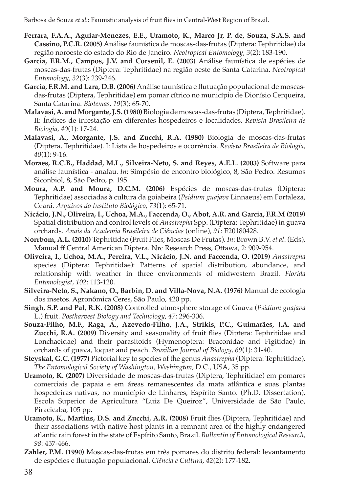- **Ferrara, F.A.A., Aguiar-Menezes, E.E., Uramoto, K., Marco Jr, P. de, Souza, S.A.S. and Cassino, P.C.R. (2005)** Análise faunística de moscas-das-frutas (Diptera: Tephritidae) da região noroeste do estado do Rio de Janeiro. *Neotropical Entomology*, *3*(2): 183-190.
- **Garcia, F.R.M., Campos, J.V. and Corseuil, E. (2003)** Análise faunística de espécies de moscas-das-frutas (Diptera: Tephritidae) na região oeste de Santa Catarina. *Neotropical Entomology*, *32*(3): 239-246.
- **Garcia, F.R.M. and Lara, D.B. (2006)** Análise faunística e flutuação populacional de moscasdas-frutas (Diptera, Tephritidae) em pomar cítrico no município de Dionísio Cerqueira, Santa Catarina. *Biotemas*, *19*(3): 65-70.
- **Malavasi, A. and Morgante, J.S. (1980)** Biologia de moscas-das-frutas (Diptera, Tephritidae). II: Índices de infestação em diferentes hospedeiros e localidades. *Revista Brasileira de Biologia*, *40*(1): 17-24.
- **Malavasi, A., Morgante, J.S. and Zucchi, R.A. (1980)** Biologia de moscas-das-frutas (Diptera, Tephritidae). I: Lista de hospedeiros e ocorrência. *Revista Brasileira de Biologia*, *40*(1): 9-16.
- **Moraes, R.C.B., Haddad, M.L., Silveira-Neto, S. and Reyes, A.E.L. (2003)** Software para análise faunística - anafau. *In*: Simpósio de encontro biológico, 8, São Pedro. Resumos Siconbiol, 8, São Pedro, p. 195.
- **Moura, A.P. and Moura, D.C.M. (2006)** Espécies de moscas-das-frutas (Diptera: Tephritidae) associadas à cultura da goiabeira (*Psidium guajava* Linnaeus) em Fortaleza, Ceará. *Arquivos do Instituto Biológico*, *73*(1): 65-71.
- **Nicácio, J.N., Oliveira, I., Uchoa, M.A., Faccenda, O., Abot, A.R. and Garcia, F.R.M (2019)** Spatial distribution and control levels of *Anastrepha* Spp. (Diptera: Tephritidae) in guava orchards. *Anais da Academia Brasileira de Ciências* (online), *91*: E20180428.
- **Norrbom, A.L. (2010)** Tephritidae (Fruit Flies, Moscas De Frutas). *In*: Brown B.V. *et al*. (Eds), Manual ff Central American Diptera. Nrc Research Press, Ottawa, 2: 909-954.
- **Oliveira, I., Uchoa, M.A., Pereira, V.L., Nicácio, J.N. and Faccenda, O. (2019)** *Anastrepha* species (Diptera: Tephritidae): Patterns of spatial distribution, abundance, and relationship with weather in three environments of midwestern Brazil. *Florida Entomologist*, *102*: 113-120.
- **Silveira-Neto, S., Nakano, O., Barbin, D. and Villa-Nova, N.A. (1976)** Manual de ecologia dos insetos. Agronômica Ceres, São Paulo, 420 pp.
- **Singh, S.P. and Pal, R.K. (2008)** Controlled atmosphere storage of Guava (*Psidium guajava* L.) fruit. *Postharvest Biology and Technology*, *47*: 296-306.
- **Souza-Filho, M.F., Raga, A., Azevedo-Filho, J.A., Strikis, P.C., Guimarães, J.A. and Zucchi, R.A. (2009)** Diversity and seasonality of fruit flies (Diptera: Tephritidae and Lonchaeidae) and their parasitoids (Hymenoptera: Braconidae and Figitidae) in orchards of guava, loquat and peach. *Brazilian Journal of Biology*, *69*(1): 31-40.
- **Steyskal, G.C. (1977)** Pictorial key to species of the genus *Anastrepha* (Diptera: Tephritidae). *The Entomological Society of Washington, Washington*, D.C., USA, 35 pp.
- **Uramoto, K. (2007)** Diversidade de moscas-das-frutas (Diptera, Tephritidae) em pomares comerciais de papaia e em áreas remanescentes da mata atlântica e suas plantas hospedeiras nativas, no município de Linhares, Espírito Santo. (Ph.D. Dissertation). Escola Superior de Agricultura "Luiz De Queiroz", Universidade de São Paulo, Piracicaba, 105 pp.
- **Uramoto, K., Martins, D.S. and Zucchi, A.R. (2008)** Fruit flies (Diptera, Tephritidae) and their associations with native host plants in a remnant area of the highly endangered atlantic rain forest in the state of Espírito Santo, Brazil. *Bullentin of Entomological Research*, *98*: 457-466.
- **Zahler, P.M. (1990)** Moscas-das-frutas em três pomares do distrito federal: levantamento de espécies e flutuação populacional. *Ciência e Cultura*, *42*(2): 177-182.